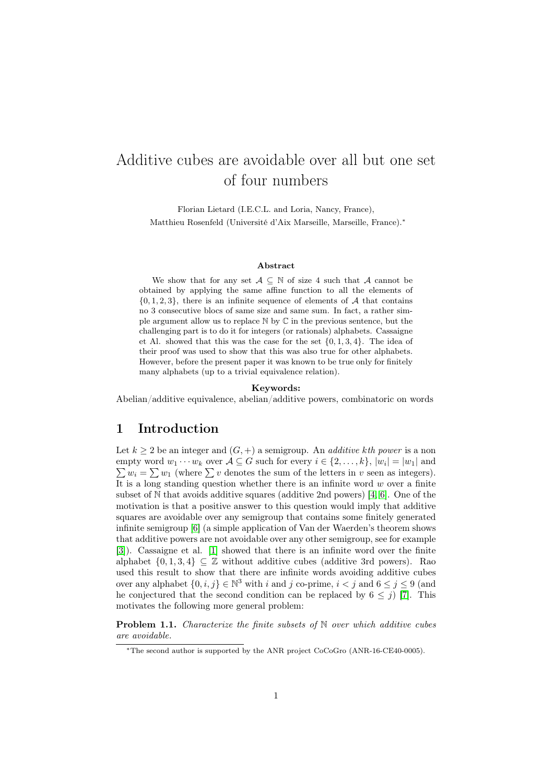# <span id="page-0-1"></span>Additive cubes are avoidable over all but one set of four numbers

Florian Lietard (I.E.C.L. and Loria, Nancy, France), Matthieu Rosenfeld (Université d'Aix Marseille, Marseille, France).<sup>∗</sup>

#### Abstract

We show that for any set  $A \subseteq \mathbb{N}$  of size 4 such that A cannot be obtained by applying the same affine function to all the elements of  $\{0, 1, 2, 3\}$ , there is an infinite sequence of elements of A that contains no 3 consecutive blocs of same size and same sum. In fact, a rather simple argument allow us to replace N by C in the previous sentence, but the challenging part is to do it for integers (or rationals) alphabets. Cassaigne et Al. showed that this was the case for the set  $\{0, 1, 3, 4\}$ . The idea of their proof was used to show that this was also true for other alphabets. However, before the present paper it was known to be true only for finitely many alphabets (up to a trivial equivalence relation).

#### Keywords:

Abelian/additive equivalence, abelian/additive powers, combinatoric on words

#### 1 Introduction

Let  $k \geq 2$  be an integer and  $(G, +)$  a semigroup. An *additive kth power* is a non empty word  $w_1 \cdots w_k$  over  $\mathcal{A} \subseteq G$  such for every  $i \in \{2, \ldots, k\}$ ,  $|w_i| = |w_1|$  and  $\sum w_i = \sum w_1$  (where  $\sum v$  denotes the sum of the letters in v seen as integers). It is a long standing question whether there is an infinite word  $w$  over a finite subset of  $\mathbb N$  that avoids additive squares (additive 2nd powers) [\[4,](#page-14-0) [6\]](#page-14-1). One of the motivation is that a positive answer to this question would imply that additive squares are avoidable over any semigroup that contains some finitely generated infinite semigroup [\[6\]](#page-14-1) (a simple application of Van der Waerden's theorem shows that additive powers are not avoidable over any other semigroup, see for example [\[3\]](#page-14-2)). Cassaigne et al. [\[1\]](#page-14-3) showed that there is an infinite word over the finite alphabet  $\{0, 1, 3, 4\} \subseteq \mathbb{Z}$  without additive cubes (additive 3rd powers). Rao used this result to show that there are infinite words avoiding additive cubes over any alphabet  $\{0, i, j\} \in \mathbb{N}^3$  with i and j co-prime,  $i < j$  and  $6 \le j \le 9$  (and he conjectured that the second condition can be replaced by  $6 \leq j$  [\[7\]](#page-14-4). This motivates the following more general problem:

<span id="page-0-0"></span>**Problem 1.1.** Characterize the finite subsets of  $N$  over which additive cubes are avoidable.

<sup>∗</sup>The second author is supported by the ANR project CoCoGro (ANR-16-CE40-0005).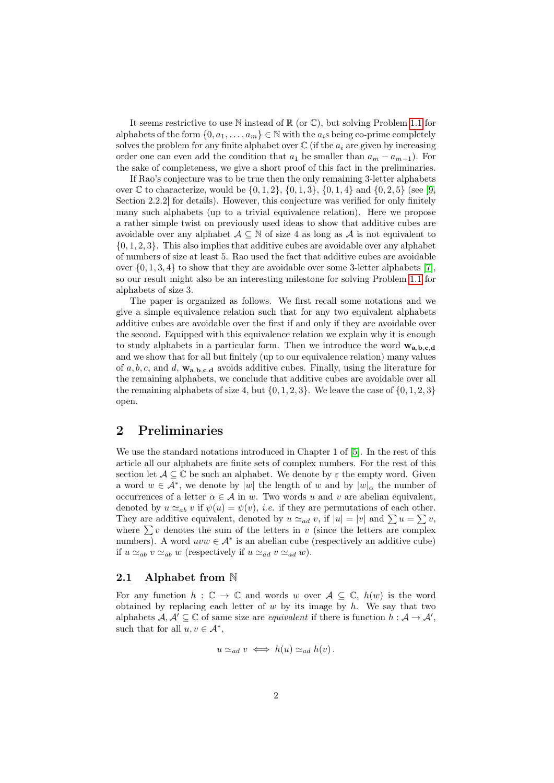It seems restrictive to use  $\mathbb N$  instead of  $\mathbb R$  (or  $\mathbb C$ ), but solving Problem [1.1](#page-0-0) for alphabets of the form  $\{0, a_1, \ldots, a_m\} \in \mathbb{N}$  with the  $a_i$ s being co-prime completely solves the problem for any finite alphabet over  $\mathbb C$  (if the  $a_i$  are given by increasing order one can even add the condition that  $a_1$  be smaller than  $a_m - a_{m-1}$ ). For the sake of completeness, we give a short proof of this fact in the preliminaries.

If Rao's conjecture was to be true then the only remaining 3-letter alphabets over C to characterize, would be  $\{0, 1, 2\}$ ,  $\{0, 1, 3\}$ ,  $\{0, 1, 4\}$  and  $\{0, 2, 5\}$  (see [\[9,](#page-14-5) Section 2.2.2] for details). However, this conjecture was verified for only finitely many such alphabets (up to a trivial equivalence relation). Here we propose a rather simple twist on previously used ideas to show that additive cubes are avoidable over any alphabet  $A \subseteq \mathbb{N}$  of size 4 as long as A is not equivalent to  $\{0, 1, 2, 3\}$ . This also implies that additive cubes are avoidable over any alphabet of numbers of size at least 5. Rao used the fact that additive cubes are avoidable over  $\{0, 1, 3, 4\}$  to show that they are avoidable over some 3-letter alphabets [\[7\]](#page-14-4), so our result might also be an interesting milestone for solving Problem [1.1](#page-0-0) for alphabets of size 3.

The paper is organized as follows. We first recall some notations and we give a simple equivalence relation such that for any two equivalent alphabets additive cubes are avoidable over the first if and only if they are avoidable over the second. Equipped with this equivalence relation we explain why it is enough to study alphabets in a particular form. Then we introduce the word  $w_{a,b,c,d}$ and we show that for all but finitely (up to our equivalence relation) many values of  $a, b, c$ , and  $d$ ,  $\mathbf{w}_{a,b,c,d}$  avoids additive cubes. Finally, using the literature for the remaining alphabets, we conclude that additive cubes are avoidable over all the remaining alphabets of size 4, but  $\{0, 1, 2, 3\}$ . We leave the case of  $\{0, 1, 2, 3\}$ open.

#### 2 Preliminaries

We use the standard notations introduced in Chapter 1 of [\[5\]](#page-14-6). In the rest of this article all our alphabets are finite sets of complex numbers. For the rest of this section let  $A \subseteq \mathbb{C}$  be such an alphabet. We denote by  $\varepsilon$  the empty word. Given a word  $w \in \mathcal{A}^*$ , we denote by  $|w|$  the length of w and by  $|w|_{\alpha}$  the number of occurrences of a letter  $\alpha \in \mathcal{A}$  in w. Two words u and v are abelian equivalent, denoted by  $u \simeq_{ab} v$  if  $\psi(u) = \psi(v)$ , *i.e.* if they are permutations of each other. They are additive equivalent, denoted by  $u \simeq_{ad} v$ , if  $|u| = |v|$  and  $\sum u = \sum v$ , where  $\sum v$  denotes the sum of the letters in v (since the letters are complex numbers). A word  $uvw \in A^*$  is an abelian cube (respectively an additive cube) if  $u \simeq_{ab} v \simeq_{ab} w$  (respectively if  $u \simeq_{ad} v \simeq_{ad} w$ ).

#### 2.1 Alphabet from N

For any function  $h : \mathbb{C} \to \mathbb{C}$  and words w over  $A \subseteq \mathbb{C}$ ,  $h(w)$  is the word obtained by replacing each letter of  $w$  by its image by  $h$ . We say that two alphabets  $\mathcal{A}, \mathcal{A}' \subseteq \mathbb{C}$  of same size are *equivalent* if there is function  $h : \mathcal{A} \to \mathcal{A}'$ , such that for all  $u, v \in A^*$ ,

$$
u \simeq_{ad} v \iff h(u) \simeq_{ad} h(v).
$$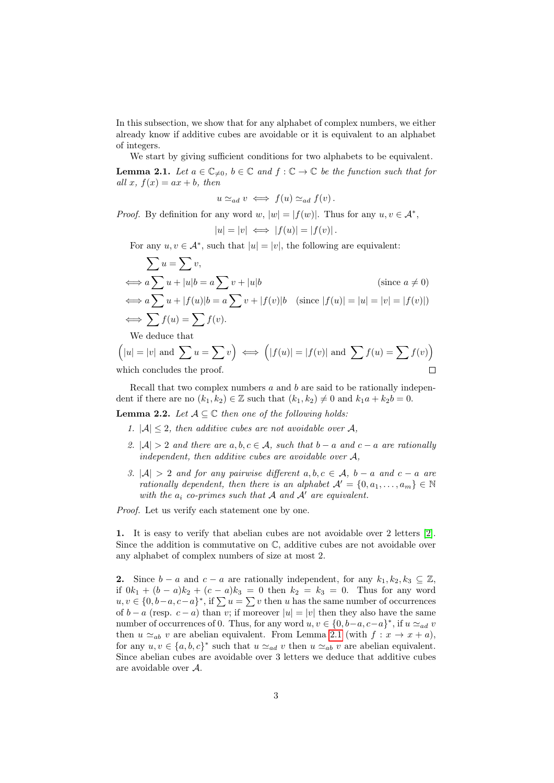In this subsection, we show that for any alphabet of complex numbers, we either already know if additive cubes are avoidable or it is equivalent to an alphabet of integers.

We start by giving sufficient conditions for two alphabets to be equivalent.

<span id="page-2-0"></span>**Lemma 2.1.** Let  $a \in \mathbb{C}_{\neq 0}$ ,  $b \in \mathbb{C}$  and  $f : \mathbb{C} \to \mathbb{C}$  be the function such that for all x,  $f(x) = ax + b$ , then

 $u \simeq_{ad} v \iff f(u) \simeq_{ad} f(v)$ .

*Proof.* By definition for any word w,  $|w| = |f(w)|$ . Thus for any  $u, v \in A^*$ ,

$$
|u| = |v| \iff |f(u)| = |f(v)|.
$$

For any  $u, v \in \mathcal{A}^*$ , such that  $|u| = |v|$ , the following are equivalent:

$$
\sum u = \sum v,
$$
  
\n
$$
\iff a \sum u + |u|b = a \sum v + |u|b
$$
 (since  $a \neq 0$ )  
\n
$$
\iff a \sum u + |f(u)|b = a \sum v + |f(v)|b
$$
 (since  $|f(u)| = |u| = |v| = |f(v)|$ )  
\n
$$
\iff \sum f(u) = \sum f(v).
$$

We deduce that

$$
\left(|u| = |v| \text{ and } \sum u = \sum v\right) \iff \left(|f(u)| = |f(v)| \text{ and } \sum f(u) = \sum f(v)\right)
$$
  
which concludes the proof.

Recall that two complex numbers  $a$  and  $b$  are said to be rationally independent if there are no  $(k_1, k_2) \in \mathbb{Z}$  such that  $(k_1, k_2) \neq 0$  and  $k_1a + k_2b = 0$ .

**Lemma 2.2.** Let  $A \subseteq \mathbb{C}$  then one of the following holds:

- 1.  $|A| \leq 2$ , then additive cubes are not avoidable over A,
- 2.  $|\mathcal{A}| > 2$  and there are  $a, b, c \in \mathcal{A}$ , such that  $b a$  and  $c a$  are rationally independent, then additive cubes are avoidable over A,
- 3.  $|\mathcal{A}| > 2$  and for any pairwise different  $a, b, c \in \mathcal{A}$ ,  $b a$  and  $c a$  are rationally dependent, then there is an alphabet  $\mathcal{A}' = \{0, a_1, \ldots, a_m\} \in \mathbb{N}$ with the  $a_i$  co-primes such that  $A$  and  $A'$  are equivalent.

Proof. Let us verify each statement one by one.

1. It is easy to verify that abelian cubes are not avoidable over 2 letters [\[2\]](#page-14-7). Since the addition is commutative on  $\mathbb{C}$ , additive cubes are not avoidable over any alphabet of complex numbers of size at most 2.

2. Since  $b - a$  and  $c - a$  are rationally independent, for any  $k_1, k_2, k_3 \subseteq \mathbb{Z}$ , if  $0k_1 + (b - a)k_2 + (c - a)k_3 = 0$  then  $k_2 = k_3 = 0$ . Thus for any word  $u, v \in \{0, b-a, c-a\}^*$ , if  $\sum u = \sum v$  then u has the same number of occurrences of  $b - a$  (resp.  $c - a$ ) than v; if moreover  $|u| = |v|$  then they also have the same number of occurrences of 0. Thus, for any word  $u, v \in \{0, b-a, c-a\}^*$ , if  $u \simeq_{ad} v$ then  $u \simeq_{ab} v$  are abelian equivalent. From Lemma [2.1](#page-2-0) (with  $f : x \to x + a$ ), for any  $u, v \in \{a, b, c\}^*$  such that  $u \simeq_{ad} v$  then  $u \simeq_{ab} v$  are abelian equivalent. Since abelian cubes are avoidable over 3 letters we deduce that additive cubes are avoidable over A.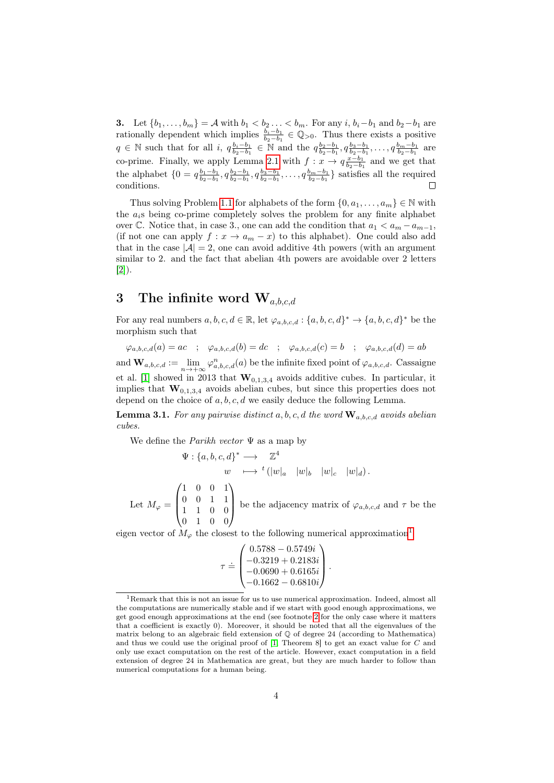3. Let  ${b_1, ..., b_m} = A$  with  $b_1 < b_2 ... < b_m$ . For any  $i, b_i - b_1$  and  $b_2 - b_1$  are rationally dependent which implies  $\frac{b_i-b_1}{b_2-b_1} \in \mathbb{Q}_{>0}$ . Thus there exists a positive  $q \in \mathbb{N}$  such that for all  $i$ ,  $q_{b_2-b_1}^{b_1-b_1} \in \mathbb{N}$  and the  $q_{b_2-b_1}^{b_2-b_1}, q_{b_2-b_1}^{b_3-b_1}, \ldots, q_{b_2-b_1}^{b_m-b_1}$  are co-prime. Finally, we apply Lemma [2.1](#page-2-0) with  $f: x \to q_{b_2-b_1}^{x-b_1}$  and we get that the alphabet  $\{0 = q_{b_2-b_1}^{b_1-b_1}, q_{b_2-b_1}^{b_2-b_1}, q_{b_2-b_1}^{b_3-b_1}, \ldots, q_{b_2-b_1}^{b_m-b_1}\}$  satisfies all the required conditions. Г

Thus solving Problem [1.1](#page-0-0) for alphabets of the form  $\{0, a_1, \ldots, a_m\} \in \mathbb{N}$  with the  $a_i$ s being co-prime completely solves the problem for any finite alphabet over  $\mathbb{C}$ . Notice that, in case 3., one can add the condition that  $a_1 < a_m - a_{m-1}$ , (if not one can apply  $f: x \to a_m - x$ ) to this alphabet). One could also add that in the case  $|\mathcal{A}| = 2$ , one can avoid additive 4th powers (with an argument similar to 2. and the fact that abelian 4th powers are avoidable over 2 letters [\[2\]](#page-14-7)).

### 3 The infinite word  $W_{a,b,c,d}$

For any real numbers  $a, b, c, d \in \mathbb{R}$ , let  $\varphi_{a,b,c,d}: \{a, b, c, d\}^* \to \{a, b, c, d\}^*$  be the morphism such that

 $\varphi_{a,b,c,d}(a) = ac \; ; \; \; \varphi_{a,b,c,d}(b) = dc \; ; \; \; \varphi_{a,b,c,d}(c) = b \; \; ; \; \; \varphi_{a,b,c,d}(d) = ab$ and  $\mathbf{W}_{a,b,c,d} := \lim_{n \to +\infty} \varphi_{a,b,c,d}^n(a)$  be the infinite fixed point of  $\varphi_{a,b,c,d}$ . Cassaigne et al. [\[1\]](#page-14-3) showed in 2013 that  $\mathbf{W}_{0,1,3,4}$  avoids additive cubes. In particular, it implies that  $\mathbf{W}_{0,1,3,4}$  avoids abelian cubes, but since this properties does not depend on the choice of  $a, b, c, d$  we easily deduce the following Lemma.

<span id="page-3-1"></span>**Lemma 3.1.** For any pairwise distinct a, b, c, d the word  $\mathbf{W}_{a,b,c,d}$  avoids abelian cubes.

We define the *Parikh vector*  $\Psi$  as a map by

 $\Psi: \{a, b, c, d\}^* \longrightarrow \mathbb{Z}^4$  $w \longrightarrow {}^{t} (|w|_a |w|_b |w|_c |w|_d).$ Let  $M_{\varphi} =$  $\sqrt{ }$  $\overline{\mathcal{L}}$ 1 0 0 1 0 0 1 1 1 1 0 0 0 1 0 0  $\setminus$ be the adjacency matrix of  $\varphi_{a,b,c,d}$  and  $\tau$  be the

eigen vector of  $M_{\varphi}$  the closest to the following numerical approximation<sup>[1](#page-3-0)</sup>

$$
\tau = \begin{pmatrix} 0.5788 - 0.5749i \\ -0.3219 + 0.2183i \\ -0.0690 + 0.6165i \\ -0.1662 - 0.6810i \end{pmatrix}.
$$

<span id="page-3-0"></span><sup>1</sup>Remark that this is not an issue for us to use numerical approximation. Indeed, almost all the computations are numerically stable and if we start with good enough approximations, we get good enough approximations at the end (see footnote [2](#page-6-0) for the only case where it matters that a coefficient is exactly 0). Moreover, it should be noted that all the eigenvalues of the matrix belong to an algebraic field extension of  $\mathbb Q$  of degree 24 (according to Mathematica) and thus we could use the original proof of [\[1,](#page-14-3) Theorem 8] to get an exact value for C and only use exact computation on the rest of the article. However, exact computation in a field extension of degree 24 in Mathematica are great, but they are much harder to follow than numerical computations for a human being.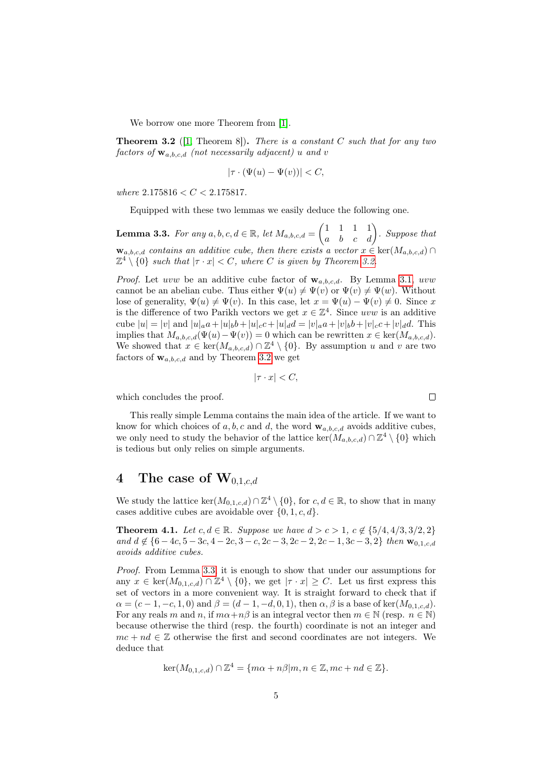We borrow one more Theorem from [\[1\]](#page-14-3).

<span id="page-4-0"></span>**Theorem 3.2** ([\[1,](#page-14-3) Theorem 8]). There is a constant C such that for any two factors of  $\mathbf{w}_{a,b,c,d}$  (not necessarily adjacent) u and v

$$
|\tau \cdot (\Psi(u) - \Psi(v))| < C,
$$

where  $2.175816 < C < 2.175817$ .

Equipped with these two lemmas we easily deduce the following one.

<span id="page-4-1"></span>**Lemma 3.3.** For any  $a, b, c, d \in \mathbb{R}$ , let  $M_{a,b,c,d} = \begin{pmatrix} 1 & 1 & 1 & 1 \\ a & b & c & d \end{pmatrix}$ . Suppose that  $\mathbf{w}_{a,b,c,d}$  contains an additive cube, then there exists a vector  $x \in \text{ker}(M_{a,b,c,d}) \cap$  $\mathbb{Z}^4 \setminus \{0\}$  such that  $|\tau \cdot x| < C$ , where C is given by Theorem [3.2.](#page-4-0)

*Proof.* Let uvw be an additive cube factor of  $w_{a,b,c,d}$ . By Lemma [3.1,](#page-3-1) uvw cannot be an abelian cube. Thus either  $\Psi(u) \neq \Psi(v)$  or  $\Psi(v) \neq \Psi(w)$ . Without lose of generality,  $\Psi(u) \neq \Psi(v)$ . In this case, let  $x = \Psi(u) - \Psi(v) \neq 0$ . Since x is the difference of two Parikh vectors we get  $x \in \mathbb{Z}^4$ . Since uvw is an additive cube  $|u| = |v|$  and  $|u|_a a + |u|_b b + |u|_c c + |u|_d d = |v|_a a + |v|_b b + |v|_c c + |v|_d d$ . This implies that  $M_{a,b,c,d}(\Psi(u)-\Psi(v))=0$  which can be rewritten  $x \in \text{ker}(M_{a,b,c,d})$ . We showed that  $x \in \text{ker}(M_{a,b,c,d}) \cap \mathbb{Z}^4 \setminus \{0\}$ . By assumption u and v are two factors of  $\mathbf{w}_{a,b,c,d}$  and by Theorem [3.2](#page-4-0) we get

$$
|\tau \cdot x| < C
$$

which concludes the proof.

This really simple Lemma contains the main idea of the article. If we want to know for which choices of a, b, c and d, the word  $\mathbf{w}_{a,b,c,d}$  avoids additive cubes, we only need to study the behavior of the lattice  $\ker(M_{a,b,c,d}) \cap \mathbb{Z}^4 \setminus \{0\}$  which is tedious but only relies on simple arguments.

## 4 The case of  $\mathbf{W}_{0,1,c,d}$

We study the lattice  $\ker(M_{0,1,c,d}) \cap \mathbb{Z}^4 \setminus \{0\}$ , for  $c, d \in \mathbb{R}$ , to show that in many cases additive cubes are avoidable over  $\{0, 1, c, d\}.$ 

<span id="page-4-2"></span>**Theorem 4.1.** Let  $c, d \in \mathbb{R}$ . Suppose we have  $d > c > 1$ ,  $c \notin \{5/4, 4/3, 3/2, 2\}$ and  $d \notin \{6-4c, 5-3c, 4-2c, 3-c, 2c-3, 2c-2, 2c-1, 3c-3, 2\}$  then  $\mathbf{w}_{0,1,c,d}$ avoids additive cubes.

Proof. From Lemma [3.3,](#page-4-1) it is enough to show that under our assumptions for any  $x \in \text{ker}(M_{0,1,c,d}) \cap \mathbb{Z}^4 \setminus \{0\}$ , we get  $|\tau \cdot x| \geq C$ . Let us first express this set of vectors in a more convenient way. It is straight forward to check that if  $\alpha = (c-1, -c, 1, 0)$  and  $\beta = (d-1, -d, 0, 1)$ , then  $\alpha, \beta$  is a base of ker $(M_{0,1,c,d})$ . For any reals m and n, if  $m\alpha + n\beta$  is an integral vector then  $m \in \mathbb{N}$  (resp.  $n \in \mathbb{N}$ ) because otherwise the third (resp. the fourth) coordinate is not an integer and  $mc + nd \in \mathbb{Z}$  otherwise the first and second coordinates are not integers. We deduce that

$$
\ker(M_{0,1,c,d}) \cap \mathbb{Z}^4 = \{m\alpha + n\beta | m, n \in \mathbb{Z}, mc + nd \in \mathbb{Z}\}.
$$

 $\Box$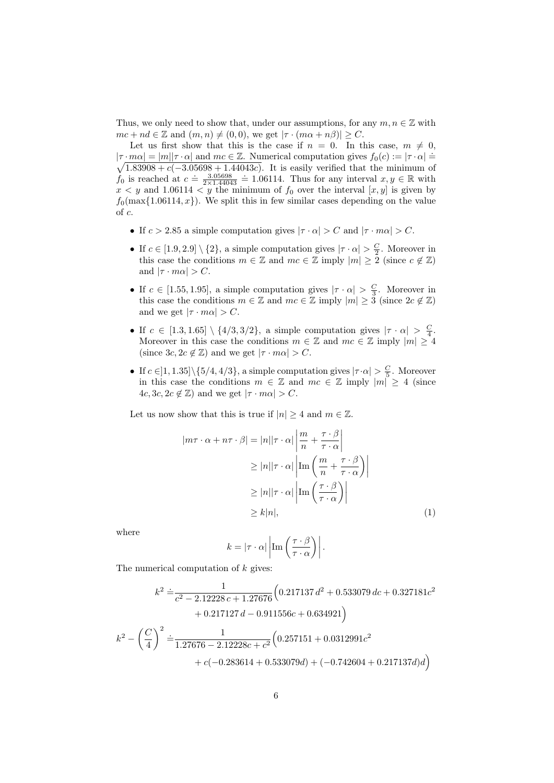Thus, we only need to show that, under our assumptions, for any  $m, n \in \mathbb{Z}$  with  $mc + nd \in \mathbb{Z}$  and  $(m, n) \neq (0, 0)$ , we get  $|\tau \cdot (m\alpha + n\beta)| \geq C$ .

Let us first show that this is the case if  $n = 0$ . In this case,  $m \neq 0$ ,  $|\tau \cdot m\alpha| = |m||\tau \cdot \alpha|$  and  $mc \in \mathbb{Z}$ . Numerical computation gives  $f_0(c) := |\tau \cdot \alpha| = \sqrt{1.83908 + c(-3.05698 + 1.44043c)}$ . It is easily verified that the minimum of  $\sqrt{1.83908 + c(-3.05698 + 1.44043c)}$ . It is easily verified that the minimum of  $f_0$  is reached at  $c = \frac{3.05698}{2 \times 1.44043} = 1.06114$ . Thus for any interval  $x, y \in \mathbb{R}$  with  $x < y$  and 1.06114  $y < y$  the minimum of  $f_0$  over the interval  $[x, y]$  is given by  $f_0(\max\{1.06114, x\})$ . We split this in few similar cases depending on the value of c.

- If  $c > 2.85$  a simple computation gives  $|\tau \cdot \alpha| > C$  and  $|\tau \cdot m\alpha| > C$ .
- If  $c \in [1.9, 2.9] \setminus \{2\}$ , a simple computation gives  $|\tau \cdot \alpha| > \frac{C}{2}$ . Moreover in this case the conditions  $m \in \mathbb{Z}$  and  $mc \in \mathbb{Z}$  imply  $|m| > 2$  (since  $c \notin \mathbb{Z}$ ) and  $|\tau \cdot m\alpha| > C$ .
- If  $c \in [1.55, 1.95]$ , a simple computation gives  $|\tau \cdot \alpha| > \frac{C}{3}$ . Moreover in this case the conditions  $m \in \mathbb{Z}$  and  $mc \in \mathbb{Z}$  imply  $|m| \geq 3$  (since  $2c \notin \mathbb{Z}$ ) and we get  $|\tau \cdot m\alpha| > C$ .
- If  $c \in [1.3, 1.65] \setminus \{4/3, 3/2\}$ , a simple computation gives  $|\tau \cdot \alpha| > \frac{C}{4}$ . Moreover in this case the conditions  $m \in \mathbb{Z}$  and  $mc \in \mathbb{Z}$  imply  $|m| \geq 4$ (since  $3c, 2c \notin \mathbb{Z}$ ) and we get  $|\tau \cdot m\alpha| > C$ .
- If  $c \in ]1, 1.35] \setminus \{5/4, 4/3\}$ , a simple computation gives  $|\tau \cdot \alpha| > \frac{C}{5}$ . Moreover in this case the conditions  $m \in \mathbb{Z}$  and  $mc \in \mathbb{Z}$  imply  $|m| \geq 4$  (since  $4c, 3c, 2c \notin \mathbb{Z}$  and we get  $|\tau \cdot m\alpha| > C$ .

Let us now show that this is true if  $|n| \geq 4$  and  $m \in \mathbb{Z}$ .

$$
|m\tau \cdot \alpha + n\tau \cdot \beta| = |n||\tau \cdot \alpha| \left| \frac{m}{n} + \frac{\tau \cdot \beta}{\tau \cdot \alpha} \right|
$$
  
\n
$$
\geq |n||\tau \cdot \alpha| \left| \text{Im} \left( \frac{m}{n} + \frac{\tau \cdot \beta}{\tau \cdot \alpha} \right) \right|
$$
  
\n
$$
\geq |n||\tau \cdot \alpha| \left| \text{Im} \left( \frac{\tau \cdot \beta}{\tau \cdot \alpha} \right) \right|
$$
  
\n
$$
\geq k|n|,
$$
 (1)

where

<span id="page-5-0"></span>
$$
k = |\tau \cdot \alpha| \left| \operatorname{Im} \left( \frac{\tau \cdot \beta}{\tau \cdot \alpha} \right) \right|.
$$

The numerical computation of k gives:

$$
k^2 \doteq \frac{1}{c^2 - 2.12228 c + 1.27676} \Big( 0.217137 d^2 + 0.533079 dc + 0.327181c^2
$$
  
+ 0.217127 d - 0.911556c + 0.634921 \Big)  

$$
k^2 - \left(\frac{C}{4}\right)^2 \doteq \frac{1}{1.27676 - 2.12228c + c^2} \Big( 0.257151 + 0.0312991c^2
$$
  
+ c(-0.283614 + 0.533079d) + (-0.742604 + 0.217137d)d \Big)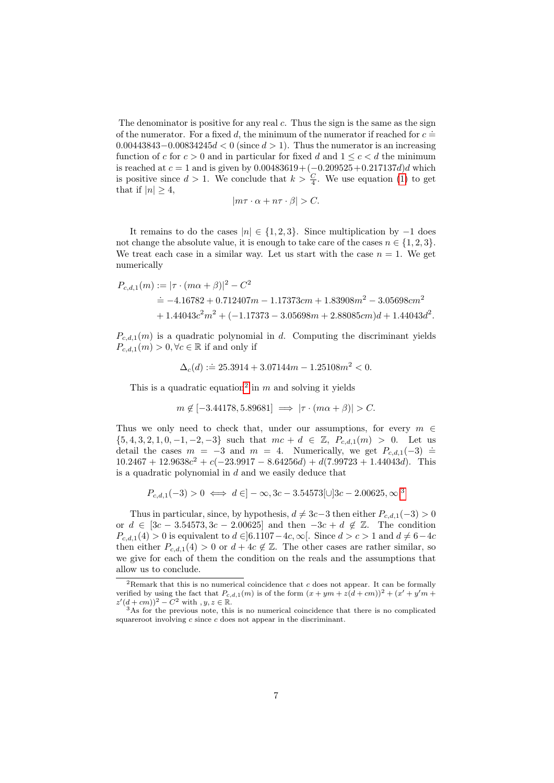The denominator is positive for any real  $c$ . Thus the sign is the same as the sign of the numerator. For a fixed d, the minimum of the numerator if reached for  $c =$  $0.00443843 - 0.00834245d < 0$  (since  $d > 1$ ). Thus the numerator is an increasing function of c for  $c > 0$  and in particular for fixed d and  $1 \leq c < d$  the minimum is reached at  $c = 1$  and is given by  $0.00483619 + (-0.209525 + 0.217137d)d$  which is positive since  $d > 1$ . We conclude that  $k > \frac{C}{4}$ . We use equation [\(1\)](#page-5-0) to get that if  $|n| \geq 4$ ,

$$
|m\tau \cdot \alpha + n\tau \cdot \beta| > C.
$$

It remains to do the cases  $|n| \in \{1, 2, 3\}$ . Since multiplication by −1 does not change the absolute value, it is enough to take care of the cases  $n \in \{1, 2, 3\}$ . We treat each case in a similar way. Let us start with the case  $n = 1$ . We get numerically

$$
P_{c,d,1}(m) := |\tau \cdot (m\alpha + \beta)|^2 - C^2
$$
  
\n
$$
\doteq -4.16782 + 0.712407m - 1.17373cm + 1.83908m^2 - 3.05698cm^2
$$
  
\n
$$
+ 1.44043c^2m^2 + (-1.17373 - 3.05698m + 2.88085cm)d + 1.44043d^2.
$$

 $P_{c,d,1}(m)$  is a quadratic polynomial in d. Computing the discriminant yields  $P_{c,d,1}(m) > 0, \forall c \in \mathbb{R}$  if and only if

$$
\Delta_c(d) := 25.3914 + 3.07144m - 1.25108m^2 < 0.
$$

This is a quadratic equation<sup>[2](#page-6-0)</sup> in m and solving it yields

$$
m \notin [-3.44178, 5.89681] \implies |\tau \cdot (m\alpha + \beta)| > C.
$$

Thus we only need to check that, under our assumptions, for every  $m \in$  $\{5, 4, 3, 2, 1, 0, -1, -2, -3\}$  such that  $mc + d \in \mathbb{Z}$ ,  $P_{c,d,1}(m) > 0$ . Let us detail the cases  $m = -3$  and  $m = 4$ . Numerically, we get  $P_{c,d,1}(-3) \doteq$  $10.2467 + 12.9638c^2 + c(-23.9917 - 8.64256d) + d(7.99723 + 1.44043d)$ . This is a quadratic polynomial in  $d$  and we easily deduce that

$$
P_{c,d,1}(-3) > 0 \iff d \in ]-\infty, 3c - 3.54573[\cup]3c - 2.00625, \infty[^3
$$

Thus in particular, since, by hypothesis,  $d \neq 3c-3$  then either  $P_{c,d,1}(-3) > 0$ or  $d \in [3c - 3.54573, 3c - 2.00625]$  and then  $-3c + d \notin \mathbb{Z}$ . The condition  $P_{c,d,1}(4) > 0$  is equivalent to  $d \in ]6.1107-4c, \infty[$ . Since  $d > c > 1$  and  $d \neq 6-4c$ then either  $P_{c,d,1}(4) > 0$  or  $d + 4c \notin \mathbb{Z}$ . The other cases are rather similar, so we give for each of them the condition on the reals and the assumptions that allow us to conclude.

<span id="page-6-0"></span><sup>&</sup>lt;sup>2</sup>Remark that this is no numerical coincidence that  $c$  does not appear. It can be formally verified by using the fact that  $P_{c,d,1}(m)$  is of the form  $(x+ym+z(d+cm))^2+(x'+y'm+cm)$  $z'(d + cm))^2 - C^2$  with  $, y, z \in \mathbb{R}$ .

<span id="page-6-1"></span><sup>3</sup>As for the previous note, this is no numerical coincidence that there is no complicated squareroot involving  $c$  since  $c$  does not appear in the discriminant.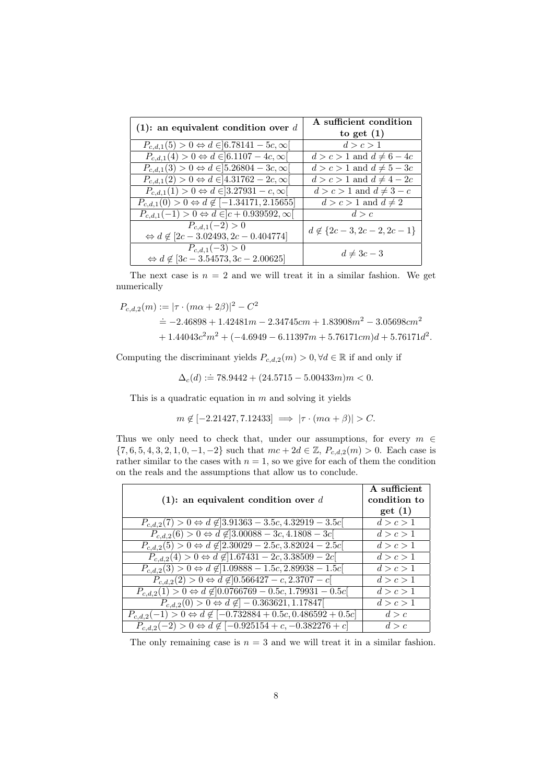| (1): an equivalent condition over $d$                            | A sufficient condition          |  |
|------------------------------------------------------------------|---------------------------------|--|
|                                                                  | to get $(1)$                    |  |
| $P_{c,d,1}(5) > 0 \Leftrightarrow d \in ]6.78141 - 5c, \infty[$  | d > c > 1                       |  |
| $P_{c,d,1}(4) > 0 \Leftrightarrow d \in ]6.1107 - 4c, \infty[$   | $d > c > 1$ and $d \neq 6-4c$   |  |
| $P_{c,d,1}(3) > 0 \Leftrightarrow d \in ]5.26804 - 3c, \infty[$  | $d > c > 1$ and $d \neq 5-3c$   |  |
| $P_{c,d,1}(2) > 0 \Leftrightarrow d \in ]4.31762 - 2c, \infty[$  | $d > c > 1$ and $d \neq 4 - 2c$ |  |
| $P_{c,d,1}(1) > 0 \Leftrightarrow d \in ]3.27931 - c, \infty[$   | $d > c > 1$ and $d \neq 3 - c$  |  |
| $P_{c,d,1}(0) > 0 \Leftrightarrow d \notin [-1.34171, 2.15655]$  | $d > c > 1$ and $d \neq 2$      |  |
| $P_{c,d,1}(-1) > 0 \Leftrightarrow d \in ]c + 0.939592, \infty[$ | d > c                           |  |
| $P_{c,d,1}(-2) > 0$                                              | $d \notin \{2c-3, 2c-2, 2c-1\}$ |  |
| $\Leftrightarrow d \notin [2c - 3.02493, 2c - 0.404774]$         |                                 |  |
| $P_{c,d,1}(-3) > 0$                                              | $d \neq 3c-3$                   |  |
| $\Leftrightarrow d \notin [3c - 3.54573, 3c - 2.00625]$          |                                 |  |

The next case is  $n = 2$  and we will treat it in a similar fashion. We get numerically

$$
P_{c,d,2}(m) := |\tau \cdot (m\alpha + 2\beta)|^2 - C^2
$$
  
\n
$$
\doteq -2.46898 + 1.42481m - 2.34745cm + 1.83908m^2 - 3.05698cm^2
$$
  
\n
$$
+ 1.44043c^2m^2 + (-4.6949 - 6.11397m + 5.76171cm)d + 5.76171d^2.
$$

Computing the discriminant yields  $P_{c,d,2}(m)>0, \forall d \in \mathbb{R}$  if and only if

$$
\Delta_c(d) := 78.9442 + (24.5715 - 5.00433m)m < 0.
$$

This is a quadratic equation in  $m$  and solving it yields

$$
m \notin [-2.21427, 7.12433] \implies |\tau \cdot (m\alpha + \beta)| > C.
$$

Thus we only need to check that, under our assumptions, for every  $m \in$  $\{7, 6, 5, 4, 3, 2, 1, 0, -1, -2\}$  such that  $mc + 2d \in \mathbb{Z}$ ,  $P_{c,d,2}(m) > 0$ . Each case is rather similar to the cases with  $n = 1$ , so we give for each of them the condition on the reals and the assumptions that allow us to conclude.

| (1): an equivalent condition over $d$                                                       | A sufficient<br>condition to |
|---------------------------------------------------------------------------------------------|------------------------------|
|                                                                                             | get(1)                       |
| $P_{c,d,2}(7) > 0 \Leftrightarrow d \notin ]3.91363 - 3.5c, 4.32919 - 3.5c[$                | d > c > 1                    |
| $P_{c,d,2}(6) > 0 \Leftrightarrow d \notin ]3.00088 - 3c, 4.1808 - 3c[$                     | d > c > 1                    |
| $P_{c,d,2}(5) > 0 \Leftrightarrow d \notin ]2.30029 - 2.5c, 3.82024 - 2.5c[$                | d > c > 1                    |
| $P_{c,d,2}(4) > 0 \Leftrightarrow d \notin ]1.67431 - 2c, 3.38509 - 2c[$                    | d > c > 1                    |
| $P_{c,d,2}(3) > 0 \Leftrightarrow d \notin ]1.09888 - 1.5c, 2.89938 - 1.5c[$                | d > c > 1                    |
| $P_{c,d,2}(2) > 0 \Leftrightarrow d \notin ]0.566427 - c, 2.3707 - c[$                      | d > c > 1                    |
| $P_{c,d,2}(1) > 0 \Leftrightarrow d \notin ]0.0766769 - 0.5c, 1.79931 - 0.5c]$              | d > c > 1                    |
| $P_{c,d,2}(0) > 0 \Leftrightarrow d \notin ] -0.363621, 1.17847[$                           | d > c > 1                    |
| $P_{c,d,2}(-1) > 0 \Leftrightarrow d \notin [-0.73\overline{2884} + 0.5c, 0.486592 + 0.5c]$ | d > c                        |
| $P_{c,d,2}(-2) > 0 \Leftrightarrow d \notin [-0.925154 + c, -0.382276 + c]$                 | d > c                        |

The only remaining case is  $n = 3$  and we will treat it in a similar fashion.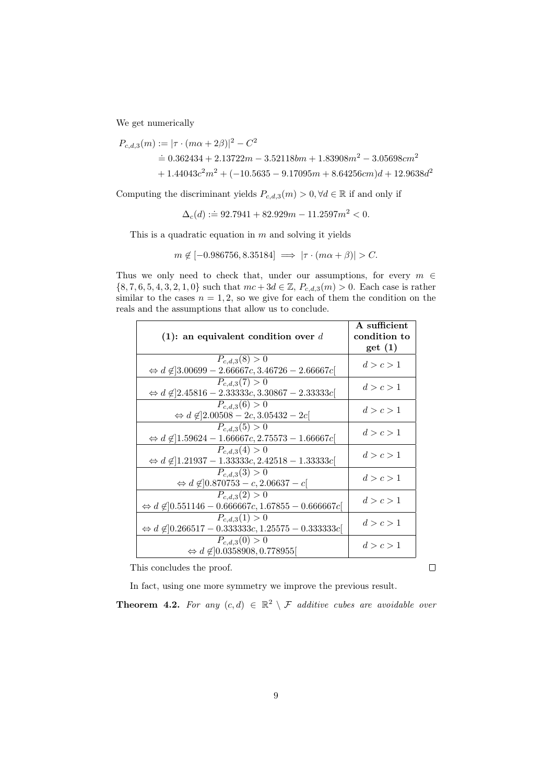We get numerically

$$
P_{c,d,3}(m) := |\tau \cdot (m\alpha + 2\beta)|^2 - C^2
$$
  
= 0.362434 + 2.13722m - 3.52118bm + 1.83908m<sup>2</sup> - 3.05698cm<sup>2</sup>  
+ 1.44043c<sup>2</sup>m<sup>2</sup> + (-10.5635 - 9.17095m + 8.64256cm)d + 12.9638d<sup>2</sup>

Computing the discriminant yields  $P_{c,d,3}(m) > 0, \forall d \in \mathbb{R}$  if and only if

$$
\Delta_c(d) := 92.7941 + 82.929m - 11.2597m^2 < 0.
$$

This is a quadratic equation in  $m$  and solving it yields

$$
m \notin [-0.986756, 8.35184] \implies |\tau \cdot (m\alpha + \beta)| > C.
$$

Thus we only need to check that, under our assumptions, for every  $m$   $\in$  $\{8, 7, 6, 5, 4, 3, 2, 1, 0\}$  such that  $mc + 3d \in \mathbb{Z}$ ,  $P_{c,d,3}(m) > 0$ . Each case is rather similar to the cases  $n = 1, 2$ , so we give for each of them the condition on the reals and the assumptions that allow us to conclude.

| (1): an equivalent condition over $d$                                                        | A sufficient<br>condition to<br>get(1) |
|----------------------------------------------------------------------------------------------|----------------------------------------|
| $P_{c,d,3}(8) > 0$                                                                           |                                        |
| $\Leftrightarrow d \notin ]3.00699 - 2.66667c, 3.46726 - 2.66667c[$                          | d > c > 1                              |
| $P_{c,d,3}(7) > 0$<br>$\Leftrightarrow d \notin ]2.45816 - 2.33333c, 3.30867 - 2.33333c]$    | d > c > 1                              |
| $P_{c,d,3}(6) > 0$<br>$\Leftrightarrow d \notin ]2.00508 - 2c, 3.05432 - 2c[$                | d > c > 1                              |
| $P_{c,d,3}(5) > 0$<br>$\Leftrightarrow d \notin ]1.59624 - 1.66667c, 2.75573 - 1.66667c[$    | d > c > 1                              |
| $P_{c,d,3}(4) > 0$<br>$\Leftrightarrow d \notin ]1.21937 - 1.33333c, 2.42518 - 1.33333c]$    | d > c > 1                              |
| $P_{c,d,3}(3) > 0$<br>$\Leftrightarrow d \not\in ]0.870753 - c, 2.06637 - c[$                | d > c > 1                              |
| $P_{c,d,3}(2) > 0$<br>$\Leftrightarrow d \notin ]0.551146 - 0.666667c, 1.67855 - 0.666667c]$ | d > c > 1                              |
| $P_{c,d,3}(1) > 0$<br>$\Leftrightarrow d \notin ]0.266517 - 0.333333c, 1.25575 - 0.333333c]$ | d > c > 1                              |
| $P_{c,d,3}(0) > 0$<br>$\Leftrightarrow d \notin ]0.0358908, 0.778955[$                       | d > c > 1                              |

This concludes the proof.

 $\Box$ 

In fact, using one more symmetry we improve the previous result.

<span id="page-8-0"></span>**Theorem 4.2.** For any  $(c,d) \in \mathbb{R}^2 \setminus \mathcal{F}$  additive cubes are avoidable over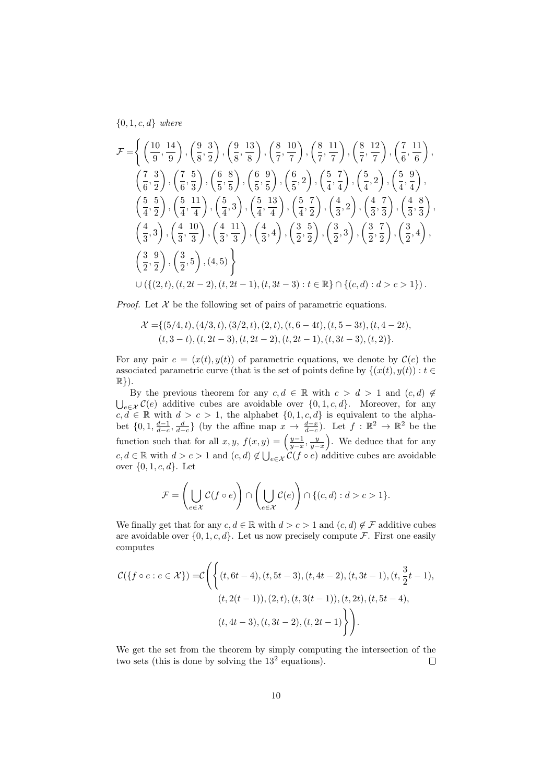${0, 1, c, d}$  where

$$
\mathcal{F} = \left\{ \left( \frac{10}{9}, \frac{14}{9} \right), \left( \frac{9}{8}, \frac{3}{2} \right), \left( \frac{9}{8}, \frac{13}{8} \right), \left( \frac{8}{7}, \frac{10}{7} \right), \left( \frac{8}{7}, \frac{11}{7} \right), \left( \frac{8}{7}, \frac{12}{7} \right), \left( \frac{7}{6}, \frac{11}{6} \right), \left( \frac{7}{6}, \frac{3}{2} \right), \left( \frac{7}{6}, \frac{5}{3} \right), \left( \frac{6}{5}, \frac{8}{5} \right), \left( \frac{6}{5}, \frac{9}{5} \right), \left( \frac{6}{5}, 2 \right), \left( \frac{5}{4}, \frac{7}{4} \right), \left( \frac{5}{4}, 2 \right), \left( \frac{5}{4}, \frac{9}{4} \right), \left( \frac{5}{4}, \frac{11}{2} \right), \left( \frac{5}{4}, \frac{11}{4} \right), \left( \frac{5}{4}, \frac{13}{4} \right), \left( \frac{5}{4}, \frac{13}{4} \right), \left( \frac{5}{4}, \frac{7}{4} \right), \left( \frac{4}{3}, \frac{7}{3} \right), \left( \frac{4}{3}, \frac{8}{3} \right), \left( \frac{4}{3}, \frac{10}{3} \right), \left( \frac{4}{3}, \frac{11}{3} \right), \left( \frac{4}{3}, 4 \right), \left( \frac{3}{2}, \frac{5}{2} \right), \left( \frac{3}{2}, 3 \right), \left( \frac{3}{2}, \frac{7}{2} \right), \left( \frac{3}{2}, 4 \right), \left( \frac{3}{2}, \frac{9}{2} \right), \left( \frac{3}{2}, 5 \right), (4, 5) \right\}
$$
  

$$
\cup \left\{ \left\{ (2, t), (t, 2t - 2), (t, 2t - 1), (t, 3t - 3) : t \in \mathbb{R} \right\} \cap \left\{ (c, d) : d > c > 1 \right\} \right\}.
$$

*Proof.* Let  $X$  be the following set of pairs of parametric equations.

$$
\mathcal{X} = \{ (5/4, t), (4/3, t), (3/2, t), (2, t), (t, 6 - 4t), (t, 5 - 3t), (t, 4 - 2t), (t, 3 - t), (t, 2t - 3), (t, 2t - 2), (t, 2t - 1), (t, 3t - 3), (t, 2) \}.
$$

For any pair  $e = (x(t), y(t))$  of parametric equations, we denote by  $\mathcal{C}(e)$  the associated parametric curve (that is the set of points define by  $\{(x(t), y(t)) : t \in$ R}).

By the previous theorem for any  $c, d \in \mathbb{R}$  with  $c > d > 1$  and  $(c, d) \notin$  $\bigcup_{e \in \mathcal{X}} C(e)$  additive cubes are avoidable over  $\{0, 1, c, d\}$ . Moreover, for any  $c, d \in \mathbb{R}$  with  $d > c > 1$ , the alphabet  $\{0, 1, c, d\}$  is equivalent to the alphabet  $\{0, 1, \frac{d-1}{d-c}, \frac{d}{d-c}\}\$  (by the affine map  $x \to \frac{d-x}{d-c}$ ). Let  $f : \mathbb{R}^2 \to \mathbb{R}^2$  be the function such that for all  $x, y, f(x, y) = \left(\frac{y-1}{y-x}, \frac{y}{y-x}\right)$ . We deduce that for any  $c, d \in \mathbb{R}$  with  $d > c > 1$  and  $(c, d) \notin \bigcup_{e \in \mathcal{X}} \mathcal{C}(f \circ e)$  additive cubes are avoidable over  $\{0, 1, c, d\}$ . Let

$$
\mathcal{F} = \left(\bigcup_{e \in \mathcal{X}} \mathcal{C}(f \circ e)\right) \cap \left(\bigcup_{e \in \mathcal{X}} \mathcal{C}(e)\right) \cap \{(c, d) : d > c > 1\}.
$$

We finally get that for any  $c, d \in \mathbb{R}$  with  $d > c > 1$  and  $(c, d) \notin \mathcal{F}$  additive cubes are avoidable over  $\{0, 1, c, d\}$ . Let us now precisely compute F. First one easily computes

$$
\mathcal{C}(\lbrace f \circ e : e \in \mathcal{X} \rbrace) = \mathcal{C}\Bigg(\Big\{(t, 6t - 4), (t, 5t - 3), (t, 4t - 2), (t, 3t - 1), (t, \frac{3}{2}t - 1), (t, 2(t - 1)), (2, t), (t, 3(t - 1)), (t, 2t), (t, 5t - 4), (t, 4t - 3), (t, 3t - 2), (t, 2t - 1)\Bigg\}\Bigg).
$$

We get the set from the theorem by simply computing the intersection of the two sets (this is done by solving the  $13<sup>2</sup>$  equations).  $\Box$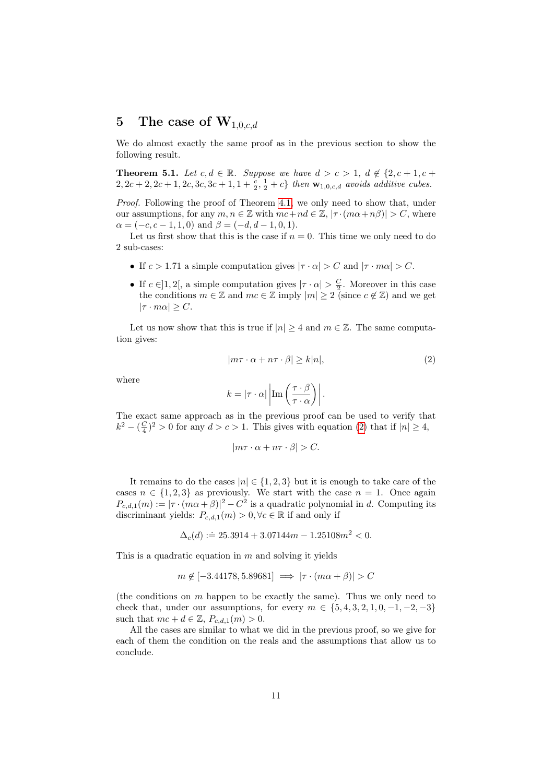### 5 The case of  $W_{1,0,cd}$

We do almost exactly the same proof as in the previous section to show the following result.

<span id="page-10-1"></span>**Theorem 5.1.** Let  $c, d \in \mathbb{R}$ . Suppose we have  $d > c > 1$ ,  $d \notin \{2, c + 1, c + \}$  $2, 2c + 2, 2c + 1, 2c, 3c, 3c + 1, 1 + \frac{c}{2}, \frac{1}{2} + c$  then  $\mathbf{w}_{1,0,c,d}$  avoids additive cubes.

Proof. Following the proof of Theorem [4.1,](#page-4-2) we only need to show that, under our assumptions, for any  $m, n \in \mathbb{Z}$  with  $mc + nd \in \mathbb{Z}, |\tau \cdot (m\alpha + n\beta)| > C$ , where  $\alpha = (-c, c - 1, 1, 0)$  and  $\beta = (-d, d - 1, 0, 1)$ .

Let us first show that this is the case if  $n = 0$ . This time we only need to do 2 sub-cases:

- If  $c > 1.71$  a simple computation gives  $|\tau \cdot \alpha| > C$  and  $|\tau \cdot m\alpha| > C$ .
- If  $c \in ]1,2[$ , a simple computation gives  $|\tau \cdot \alpha| > \frac{C}{2}$ . Moreover in this case the conditions  $m \in \mathbb{Z}$  and  $mc \in \mathbb{Z}$  imply  $|m| \geq 2$  (since  $c \notin \mathbb{Z}$ ) and we get  $|\tau \cdot m\alpha| \geq C$ .

Let us now show that this is true if  $|n| \geq 4$  and  $m \in \mathbb{Z}$ . The same computation gives:

<span id="page-10-0"></span>
$$
|m\tau \cdot \alpha + n\tau \cdot \beta| \ge k|n|,\tag{2}
$$

where

$$
k = |\tau \cdot \alpha| \left| \operatorname{Im} \left( \frac{\tau \cdot \beta}{\tau \cdot \alpha} \right) \right|.
$$

The exact same approach as in the previous proof can be used to verify that  $k^2 - \left(\frac{C}{4}\right)^2 > 0$  for any  $d > c > 1$ . This gives with equation [\(2\)](#page-10-0) that if  $|n| \geq 4$ ,

$$
|m\tau \cdot \alpha + n\tau \cdot \beta| > C.
$$

It remains to do the cases  $|n| \in \{1, 2, 3\}$  but it is enough to take care of the cases  $n \in \{1, 2, 3\}$  as previously. We start with the case  $n = 1$ . Once again  $P_{c,d,1}(m) := |\tau \cdot (m\alpha + \beta)|^2 - C^2$  is a quadratic polynomial in d. Computing its discriminant yields:  $P_{c,d,1}(m) > 0, \forall c \in \mathbb{R}$  if and only if

$$
\Delta_c(d) := 25.3914 + 3.07144m - 1.25108m^2 < 0.
$$

This is a quadratic equation in  $m$  and solving it yields

$$
m \notin [-3.44178, 5.89681] \implies |\tau \cdot (m\alpha + \beta)| > C
$$

(the conditions on  $m$  happen to be exactly the same). Thus we only need to check that, under our assumptions, for every  $m \in \{5, 4, 3, 2, 1, 0, -1, -2, -3\}$ such that  $mc + d \in \mathbb{Z}$ ,  $P_{c,d,1}(m) > 0$ .

All the cases are similar to what we did in the previous proof, so we give for each of them the condition on the reals and the assumptions that allow us to conclude.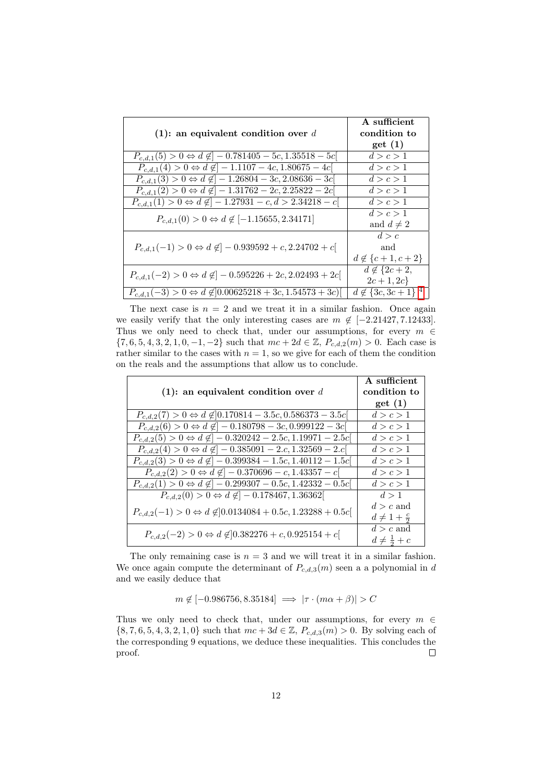|                                                                                      | A sufficient                |
|--------------------------------------------------------------------------------------|-----------------------------|
| (1): an equivalent condition over $d$                                                | condition to                |
|                                                                                      | get(1)                      |
| $P_{c,d,1}(5) > 0 \Leftrightarrow d \notin ]-0.781405 - 5c, 1.35518 - 5c[$           | d > c > 1                   |
| $P_{c,d,1}(4) > 0 \Leftrightarrow d \notin ]-1.1107 - 4c, 1.80675 - 4c[$             | d > c > 1                   |
| $P_{c,d,1}(3) > 0 \Leftrightarrow d \notin ]-1.26804 - 3c, 2.08636 - 3c[$            | d > c > 1                   |
| $P_{c,d,1}(2) > 0 \Leftrightarrow d \notin ]-1.\overline{31762 - 2c, 2.25822 - 2c[}$ | d > c > 1                   |
| $P_{c,d,1}(1) > 0 \Leftrightarrow d \notin ]-1.27931-c, d > 2.34218-c[$              | d > c > 1                   |
| $P_{c,d,1}(0) > 0 \Leftrightarrow d \notin [-1.15655, 2.34171]$                      | d > c > 1                   |
|                                                                                      | and $d \neq 2$              |
| $P_{c,d,1}(-1) > 0 \Leftrightarrow d \notin ] -0.939592 + c, 2.24702 + c[$           | d > c                       |
|                                                                                      | and                         |
|                                                                                      | $d \notin \{c+1, c+2\}$     |
| $P_{c,d,1}(-2) > 0 \Leftrightarrow d \notin ] -0.595226 + 2c, 2.02493 + 2c[$         | $d \notin \{2c+2,$          |
|                                                                                      | $2c + 1, 2c$                |
| $P_{c,d,1}(-3) > 0 \Leftrightarrow d \notin ]0.00625218 + 3c, 1.54573 + 3c]$         | $d \notin \{3c, 3c + 1\}^4$ |

The next case is  $n = 2$  and we treat it in a similar fashion. Once again we easily verify that the only interesting cases are  $m \notin [-2.21427, 7.12433]$ . Thus we only need to check that, under our assumptions, for every  $m \in$  $\{7, 6, 5, 4, 3, 2, 1, 0, -1, -2\}$  such that  $mc + 2d \in \mathbb{Z}$ ,  $P_{c,d,2}(m) > 0$ . Each case is rather similar to the cases with  $n = 1$ , so we give for each of them the condition on the reals and the assumptions that allow us to conclude.

|                                                                                 | A sufficient             |
|---------------------------------------------------------------------------------|--------------------------|
| (1): an equivalent condition over $d$                                           | condition to             |
|                                                                                 | get(1)                   |
| $P_{c,d,2}(7) > 0 \Leftrightarrow d \notin ]0.170814 - 3.5c, 0.586373 - 3.5c[$  | d > c > 1                |
| $P_{c,d,2}(6) > 0 \Leftrightarrow d \notin ] -0.180798 - 3c, 0.999122 - 3c[$    | d > c > 1                |
| $P_{c,d,2}(5) > 0 \Leftrightarrow d \notin ]-0.320242 - 2.5c, 1.19971 - 2.5c[$  | d > c > 1                |
| $P_{c,d,2}(4) > 0 \Leftrightarrow d \notin ]-0.385091 - 2.c, 1.32569 - 2.c[$    | d > c > 1                |
| $P_{c,d,2}(3) > 0 \Leftrightarrow d \notin ] -0.399384 - 1.5c, 1.40112 - 1.5c[$ | d > c > 1                |
| $P_{c,d,2}(2) > 0 \Leftrightarrow d \notin ] -0.370696 - c, 1.43357 - c[$       | d > c > 1                |
| $P_{c,d,2}(1) > 0 \Leftrightarrow d \notin ] -0.299307 - 0.5c, 1.42332 - 0.5c[$ | d > c > 1                |
| $P_{c,d,2}(0) > 0 \Leftrightarrow d \notin ]-0.178467, 1.36362[$                | d > 1                    |
| $P_{c,d,2}(-1) > 0 \Leftrightarrow d \notin ]0.0134084 + 0.5c, 1.23288 + 0.5c]$ | $d > c$ and              |
|                                                                                 | $d \neq 1 + \frac{c}{2}$ |
| $P_{c,d,2}(-2) > 0 \Leftrightarrow d \notin ]0.382276 + c, 0.925154 + c[$       | $d > c$ and              |
|                                                                                 | $d\neq \frac{1}{2}+c$    |

The only remaining case is  $n = 3$  and we will treat it in a similar fashion. We once again compute the determinant of  $P_{c,d,3}(m)$  seen a a polynomial in d and we easily deduce that

 $m \notin [-0.986756, 8.35184] \implies |\tau \cdot (m\alpha + \beta)| > C$ 

Thus we only need to check that, under our assumptions, for every  $m \in$  $\{8, 7, 6, 5, 4, 3, 2, 1, 0\}$  such that  $mc + 3d \in \mathbb{Z}$ ,  $P_{c,d,3}(m) > 0$ . By solving each of the corresponding 9 equations, we deduce these inequalities. This concludes the proof.  $\Box$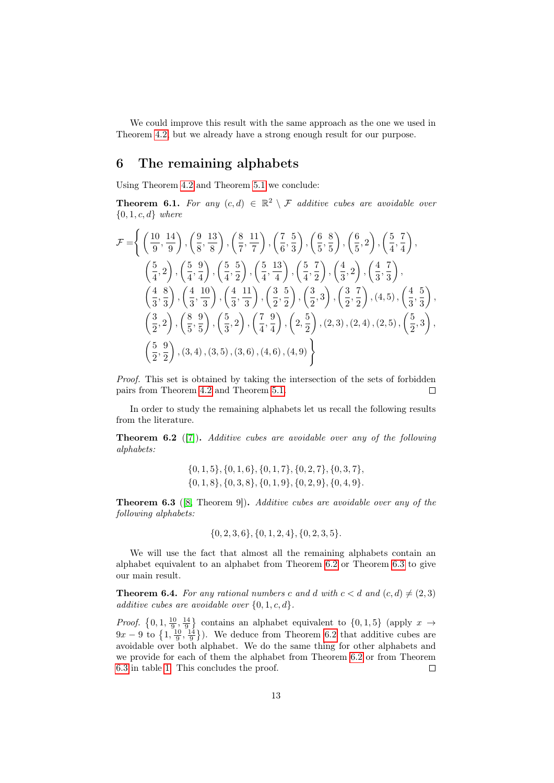We could improve this result with the same approach as the one we used in Theorem [4.2,](#page-8-0) but we already have a strong enough result for our purpose.

#### 6 The remaining alphabets

Using Theorem [4.2](#page-8-0) and Theorem [5.1](#page-10-1) we conclude:

**Theorem 6.1.** For any  $(c,d) \in \mathbb{R}^2 \setminus \mathcal{F}$  additive cubes are avoidable over  ${0, 1, c, d}$  where

$$
\mathcal{F} = \left\{ \left( \frac{10}{9}, \frac{14}{9} \right), \left( \frac{9}{8}, \frac{13}{8} \right), \left( \frac{8}{7}, \frac{11}{7} \right), \left( \frac{7}{6}, \frac{5}{3} \right), \left( \frac{6}{5}, \frac{8}{5} \right), \left( \frac{6}{5}, 2 \right), \left( \frac{5}{4}, \frac{7}{4} \right), \left( \frac{5}{4}, \frac{9}{4} \right), \left( \frac{5}{4}, \frac{5}{2} \right), \left( \frac{5}{4}, \frac{13}{4} \right), \left( \frac{5}{4}, \frac{7}{2} \right), \left( \frac{4}{3}, 2 \right), \left( \frac{4}{3}, \frac{7}{3} \right), \left( \frac{4}{3}, \frac{8}{3} \right), \left( \frac{4}{3}, \frac{10}{3} \right), \left( \frac{4}{3}, \frac{11}{3} \right), \left( \frac{3}{2}, \frac{5}{2} \right), \left( \frac{3}{2}, 3 \right), \left( \frac{3}{2}, \frac{7}{2} \right), (4, 5), \left( \frac{4}{3}, \frac{5}{3} \right), \left( \frac{3}{2}, 2 \right), \left( \frac{8}{5}, \frac{9}{5} \right), \left( \frac{5}{3}, 2 \right), \left( \frac{7}{4}, \frac{9}{4} \right), \left( 2, \frac{5}{2} \right), (2, 3), (2, 4), (2, 5), \left( \frac{5}{2}, 3 \right), \left( \frac{5}{2}, \frac{9}{2} \right), (3, 4), (3, 5), (3, 6), (4, 6), (4, 9) \right\}
$$

Proof. This set is obtained by taking the intersection of the sets of forbidden pairs from Theorem [4.2](#page-8-0) and Theorem [5.1.](#page-10-1)  $\Box$ 

In order to study the remaining alphabets let us recall the following results from the literature.

<span id="page-12-0"></span>**Theorem 6.2** ([\[7\]](#page-14-4)). Additive cubes are avoidable over any of the following alphabets:

$$
\{0, 1, 5\}, \{0, 1, 6\}, \{0, 1, 7\}, \{0, 2, 7\}, \{0, 3, 7\}, \{0, 1, 8\}, \{0, 3, 8\}, \{0, 1, 9\}, \{0, 2, 9\}, \{0, 4, 9\}.
$$

<span id="page-12-1"></span>Theorem 6.3 ([\[8,](#page-14-8) Theorem 9]). Additive cubes are avoidable over any of the following alphabets:

$$
\{0, 2, 3, 6\}, \{0, 1, 2, 4\}, \{0, 2, 3, 5\}.
$$

We will use the fact that almost all the remaining alphabets contain an alphabet equivalent to an alphabet from Theorem [6.2](#page-12-0) or Theorem [6.3](#page-12-1) to give our main result.

**Theorem 6.4.** For any rational numbers c and d with  $c < d$  and  $(c, d) \neq (2, 3)$ additive cubes are avoidable over  $\{0, 1, c, d\}.$ 

*Proof.*  $\{0, 1, \frac{10}{9}, \frac{14}{9}\}$  contains an alphabet equivalent to  $\{0, 1, 5\}$  (apply  $x \rightarrow$  $9x - 9$  to  $\left\{1, \frac{10}{9}, \frac{14}{9}\right\}$ . We deduce from Theorem [6.2](#page-12-0) that additive cubes are avoidable over both alphabet. We do the same thing for other alphabets and we provide for each of them the alphabet from Theorem [6.2](#page-12-0) or from Theorem [6.3](#page-12-1) in table [1.](#page-13-0) This concludes the proof.  $\Box$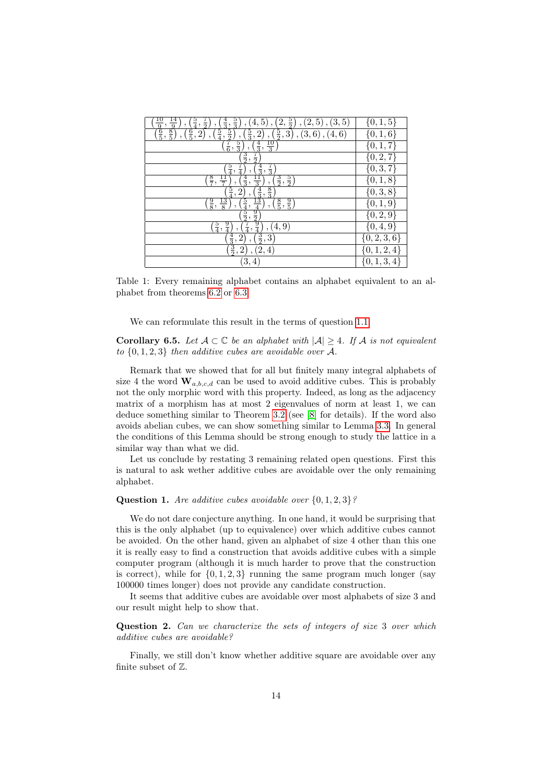| $\frac{5}{3}$<br>$\frac{5}{2}$<br>$\frac{4}{3}$ ,<br>(2,<br>$(2,5)$ ,<br>$\frac{5}{4}$ ,<br>(3, 5)<br>5)<br>$\frac{1}{2}$<br>4,<br>,                                                                                              | $\{0,1,5$               |
|-----------------------------------------------------------------------------------------------------------------------------------------------------------------------------------------------------------------------------------|-------------------------|
| $\frac{\frac{10}{9}}{\frac{6}{5}}$<br>$\frac{\frac{14}{9}}{\frac{8}{5}}$<br>$\frac{5}{2}$<br>$\frac{6}{5}$ ,<br>$\frac{5}{4}$ ,<br>$(\frac{5}{2}, 3)$<br>$\frac{5}{3}$ ,<br>2)<br>$(3,6)$ , $(4,6)$<br>2)<br>$\ddot{\phantom{0}}$ | $\{0, 1,$<br>6          |
| $\frac{7}{6}$ ,<br>$\frac{4}{3}$ ,<br>$\frac{10}{3}$<br>$\frac{5}{3}$                                                                                                                                                             | $\{0, 1, 7$             |
| $\frac{3}{2}$<br>$\frac{7}{2}$                                                                                                                                                                                                    | $\{0, 2, \mathcal{C}\}$ |
| $\frac{7}{3}$<br>$\frac{5}{4}$<br>$\frac{4}{3}$<br>$\frac{1}{4}$                                                                                                                                                                  | $\{0, 3, 7\}$           |
| $\frac{8}{7}$<br>$\frac{3}{2}$ ,<br>$\frac{5}{2}$<br>$\frac{4}{3}$ ,<br>$\frac{11}{7}$<br>$\frac{11}{3}$<br>,<br>,                                                                                                                | 8<br>$\{0,1,$           |
| $\frac{8}{3}$<br>$\frac{5}{4}$ ,<br>$\sqrt{2}$<br>$\overline{\phantom{a}}$                                                                                                                                                        | ${0, 3,$<br>8           |
| $\frac{4}{3}$<br>$\frac{13}{4}$<br>$\frac{13}{2}$<br>$\frac{1}{2}$<br>$\frac{9}{4}$<br>$\frac{13}{8}$<br>$(\frac{8}{5}, \frac{9}{5})$<br>$\frac{9}{8}$<br>$\frac{5}{4}$ , $\frac{1}{2}$<br>$\overline{ }$                         | ${0, 1, 9}$             |
|                                                                                                                                                                                                                                   | $\{0, 2, 9\}$           |
| $\frac{7}{4}$<br>$\frac{9}{4}$<br>$\frac{5}{4}$ ,<br>(4,9)                                                                                                                                                                        | $\{0,4,9$               |
| $\frac{3}{2}$ ,<br>$\mathbf{3}$<br>$\frac{4}{3}$<br>2                                                                                                                                                                             | $\{0, 2, 3, 6\}$        |
| $\frac{3}{2}$ ,<br>2<br>(2,4)                                                                                                                                                                                                     | $\{0, 1, 2, 4\}$        |
| [3,<br>$\left( 4\right)$                                                                                                                                                                                                          | $\{0,1,3,4\}$           |

<span id="page-13-0"></span>Table 1: Every remaining alphabet contains an alphabet equivalent to an alphabet from theorems [6.2](#page-12-0) or [6.3](#page-12-1)

We can reformulate this result in the terms of question [1.1.](#page-0-0)

**Corollary 6.5.** Let  $A \subset \mathbb{C}$  be an alphabet with  $|A| \geq 4$ . If A is not equivalent to  $\{0, 1, 2, 3\}$  then additive cubes are avoidable over A.

Remark that we showed that for all but finitely many integral alphabets of size 4 the word  $\mathbf{W}_{a,b,c,d}$  can be used to avoid additive cubes. This is probably not the only morphic word with this property. Indeed, as long as the adjacency matrix of a morphism has at most 2 eigenvalues of norm at least 1, we can deduce something similar to Theorem [3.2](#page-4-0) (see [\[8\]](#page-14-8) for details). If the word also avoids abelian cubes, we can show something similar to Lemma [3.3.](#page-4-1) In general the conditions of this Lemma should be strong enough to study the lattice in a similar way than what we did.

Let us conclude by restating 3 remaining related open questions. First this is natural to ask wether additive cubes are avoidable over the only remaining alphabet.

#### **Question 1.** Are additive cubes avoidable over  $\{0, 1, 2, 3\}$ ?

We do not dare conjecture anything. In one hand, it would be surprising that this is the only alphabet (up to equivalence) over which additive cubes cannot be avoided. On the other hand, given an alphabet of size 4 other than this one it is really easy to find a construction that avoids additive cubes with a simple computer program (although it is much harder to prove that the construction is correct), while for  $\{0, 1, 2, 3\}$  running the same program much longer (say 100000 times longer) does not provide any candidate construction.

It seems that additive cubes are avoidable over most alphabets of size 3 and our result might help to show that.

Question 2. Can we characterize the sets of integers of size 3 over which additive cubes are avoidable?

Finally, we still don't know whether additive square are avoidable over any finite subset of Z.